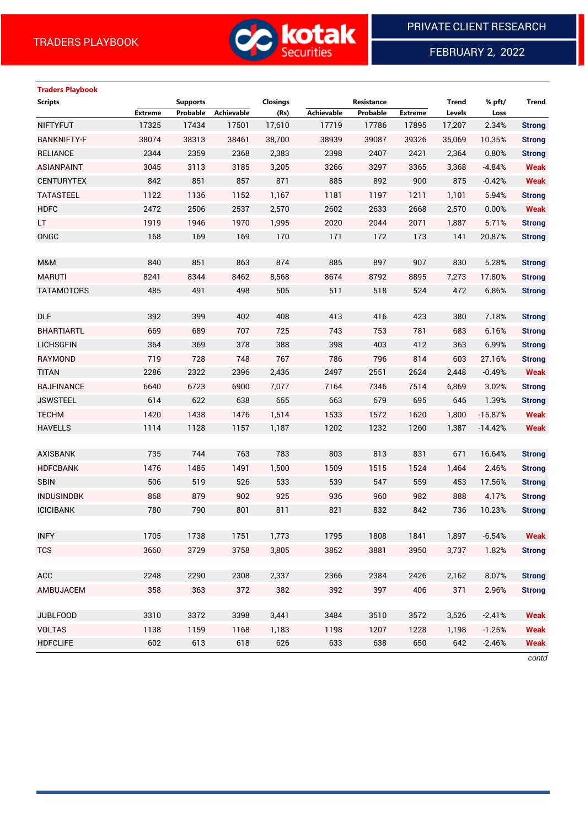

FEBRUARY 2, 2022

### **Traders Playbook**

| <b>Scripts</b>     |                | <b>Supports</b> |                   | Closings |                   | Resistance |                | <b>Trend</b> | % pft/    | Trend         |
|--------------------|----------------|-----------------|-------------------|----------|-------------------|------------|----------------|--------------|-----------|---------------|
|                    | <b>Extreme</b> | Probable        | <b>Achievable</b> | (Rs)     | <b>Achievable</b> | Probable   | <b>Extreme</b> | Levels       | Loss      |               |
| <b>NIFTYFUT</b>    | 17325          | 17434           | 17501             | 17,610   | 17719             | 17786      | 17895          | 17,207       | 2.34%     | <b>Strong</b> |
| <b>BANKNIFTY-F</b> | 38074          | 38313           | 38461             | 38,700   | 38939             | 39087      | 39326          | 35,069       | 10.35%    | <b>Strong</b> |
| <b>RELIANCE</b>    | 2344           | 2359            | 2368              | 2,383    | 2398              | 2407       | 2421           | 2,364        | 0.80%     | <b>Strong</b> |
| <b>ASIANPAINT</b>  | 3045           | 3113            | 3185              | 3,205    | 3266              | 3297       | 3365           | 3,368        | $-4.84%$  | <b>Weak</b>   |
| <b>CENTURYTEX</b>  | 842            | 851             | 857               | 871      | 885               | 892        | 900            | 875          | $-0.42%$  | <b>Weak</b>   |
| <b>TATASTEEL</b>   | 1122           | 1136            | 1152              | 1,167    | 1181              | 1197       | 1211           | 1,101        | 5.94%     | <b>Strong</b> |
| <b>HDFC</b>        | 2472           | 2506            | 2537              | 2,570    | 2602              | 2633       | 2668           | 2,570        | 0.00%     | <b>Weak</b>   |
| LT                 | 1919           | 1946            | 1970              | 1,995    | 2020              | 2044       | 2071           | 1,887        | 5.71%     | <b>Strong</b> |
| <b>ONGC</b>        | 168            | 169             | 169               | 170      | 171               | 172        | 173            | 141          | 20.87%    | <b>Strong</b> |
|                    |                |                 |                   |          |                   |            |                |              |           |               |
| M&M                | 840            | 851             | 863               | 874      | 885               | 897        | 907            | 830          | 5.28%     | <b>Strong</b> |
| <b>MARUTI</b>      | 8241           | 8344            | 8462              | 8,568    | 8674              | 8792       | 8895           | 7,273        | 17.80%    | <b>Strong</b> |
| <b>TATAMOTORS</b>  | 485            | 491             | 498               | 505      | 511               | 518        | 524            | 472          | 6.86%     | <b>Strong</b> |
|                    |                |                 |                   |          |                   |            |                |              |           |               |
| <b>DLF</b>         | 392            | 399             | 402               | 408      | 413               | 416        | 423            | 380          | 7.18%     | <b>Strong</b> |
| <b>BHARTIARTL</b>  | 669            | 689             | 707               | 725      | 743               | 753        | 781            | 683          | 6.16%     | <b>Strong</b> |
| <b>LICHSGFIN</b>   | 364            | 369             | 378               | 388      | 398               | 403        | 412            | 363          | 6.99%     | <b>Strong</b> |
| RAYMOND            | 719            | 728             | 748               | 767      | 786               | 796        | 814            | 603          | 27.16%    | <b>Strong</b> |
| <b>TITAN</b>       | 2286           | 2322            | 2396              | 2,436    | 2497              | 2551       | 2624           | 2,448        | $-0.49%$  | <b>Weak</b>   |
| <b>BAJFINANCE</b>  | 6640           | 6723            | 6900              | 7,077    | 7164              | 7346       | 7514           | 6,869        | 3.02%     | <b>Strong</b> |
| <b>JSWSTEEL</b>    | 614            | 622             | 638               | 655      | 663               | 679        | 695            | 646          | 1.39%     | <b>Strong</b> |
| <b>TECHM</b>       | 1420           | 1438            | 1476              | 1,514    | 1533              | 1572       | 1620           | 1,800        | $-15.87%$ | <b>Weak</b>   |
| <b>HAVELLS</b>     | 1114           | 1128            | 1157              | 1,187    | 1202              | 1232       | 1260           | 1,387        | $-14.42%$ | <b>Weak</b>   |
|                    |                |                 |                   |          |                   |            |                |              |           |               |
| <b>AXISBANK</b>    | 735            | 744             | 763               | 783      | 803               | 813        | 831            | 671          | 16.64%    | <b>Strong</b> |
| <b>HDFCBANK</b>    | 1476           | 1485            | 1491              | 1,500    | 1509              | 1515       | 1524           | 1,464        | 2.46%     | <b>Strong</b> |
| <b>SBIN</b>        | 506            | 519             | 526               | 533      | 539               | 547        | 559            | 453          | 17.56%    | <b>Strong</b> |
| <b>INDUSINDBK</b>  | 868            | 879             | 902               | 925      | 936               | 960        | 982            | 888          | 4.17%     | <b>Strong</b> |
| <b>ICICIBANK</b>   | 780            | 790             | 801               | 811      | 821               | 832        | 842            | 736          | 10.23%    | <b>Strong</b> |
|                    |                |                 |                   |          |                   |            |                |              |           |               |
| <b>INFY</b>        | 1705           | 1738            | 1751              | 1,773    | 1795              | 1808       | 1841           | 1,897        | $-6.54%$  | Weak          |
| <b>TCS</b>         | 3660           | 3729            | 3758              | 3,805    | 3852              | 3881       | 3950           | 3,737        | 1.82%     | <b>Strong</b> |
|                    |                |                 |                   |          |                   |            |                |              |           |               |
| ACC                | 2248           | 2290            | 2308              | 2,337    | 2366              | 2384       | 2426           | 2,162        | 8.07%     | <b>Strong</b> |
| AMBUJACEM          | 358            | 363             | 372               | 382      | 392               | 397        | 406            | 371          | 2.96%     | <b>Strong</b> |
|                    |                |                 |                   |          |                   |            |                |              |           |               |
| <b>JUBLFOOD</b>    | 3310           | 3372            | 3398              | 3,441    | 3484              | 3510       | 3572           | 3,526        | $-2.41%$  | <b>Weak</b>   |
| <b>VOLTAS</b>      | 1138           | 1159            | 1168              | 1,183    | 1198              | 1207       | 1228           | 1,198        | $-1.25%$  | <b>Weak</b>   |
| <b>HDFCLIFE</b>    | 602            | 613             | 618               | 626      | 633               | 638        | 650            | 642          | $-2.46%$  | Weak          |

*contd*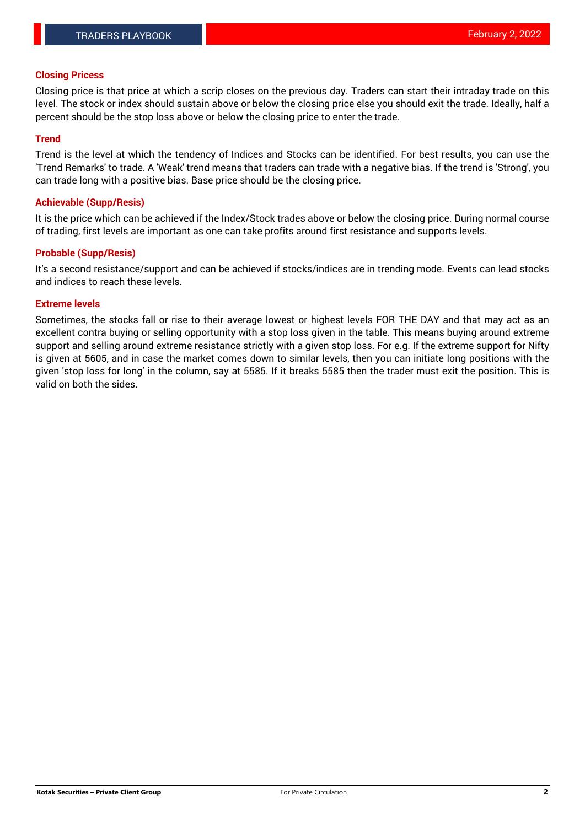### **Closing Pricess**

Closing price is that price at which a scrip closes on the previous day. Traders can start their intraday trade on this level. The stock or index should sustain above or below the closing price else you should exit the trade. Ideally, half a percent should be the stop loss above or below the closing price to enter the trade.

### **Trend**

Trend is the level at which the tendency of Indices and Stocks can be identified. For best results, you can use the 'Trend Remarks' to trade. A 'Weak' trend means that traders can trade with a negative bias. If the trend is 'Strong', you can trade long with a positive bias. Base price should be the closing price.

#### **Achievable (Supp/Resis)**

It is the price which can be achieved if the Index/Stock trades above or below the closing price. During normal course of trading, first levels are important as one can take profits around first resistance and supports levels.

### **Probable (Supp/Resis)**

It's a second resistance/support and can be achieved if stocks/indices are in trending mode. Events can lead stocks and indices to reach these levels.

#### **Extreme levels**

Sometimes, the stocks fall or rise to their average lowest or highest levels FOR THE DAY and that may act as an excellent contra buying or selling opportunity with a stop loss given in the table. This means buying around extreme support and selling around extreme resistance strictly with a given stop loss. For e.g. If the extreme support for Nifty is given at 5605, and in case the market comes down to similar levels, then you can initiate long positions with the given 'stop loss for long' in the column, say at 5585. If it breaks 5585 then the trader must exit the position. This is valid on both the sides.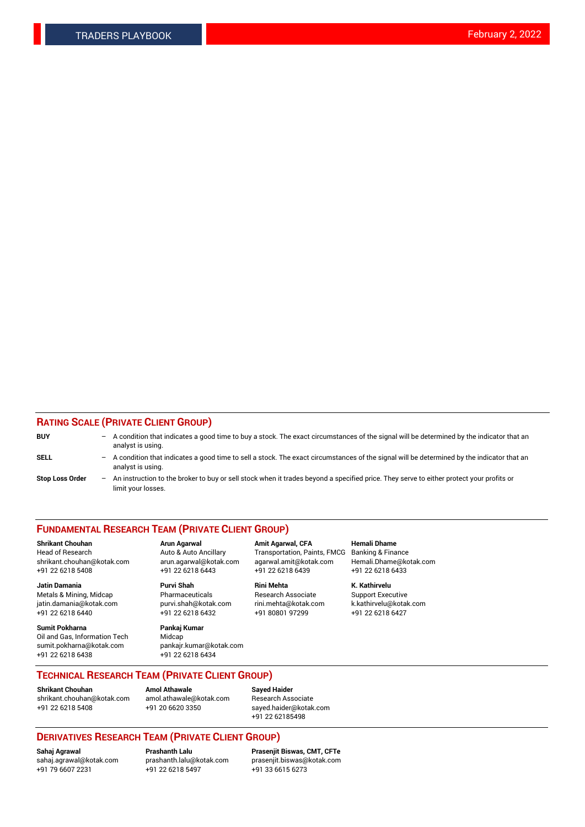### **RATING SCALE (PRIVATE CLIENT GROUP)**

| <b>BUY</b>             |     | - A condition that indicates a good time to buy a stock. The exact circumstances of the signal will be determined by the indicator that an<br>analyst is using. |
|------------------------|-----|-----------------------------------------------------------------------------------------------------------------------------------------------------------------|
| <b>SELL</b>            | $-$ | A condition that indicates a good time to sell a stock. The exact circumstances of the signal will be determined by the indicator that an<br>analyst is using.  |
| <b>Stop Loss Order</b> |     | - An instruction to the broker to buy or sell stock when it trades beyond a specified price. They serve to either protect your profits or<br>limit your losses. |

#### **FUNDAMENTAL RESEARCH TEAM (PRIVATE CLIENT GROUP)**

**Shrikant Chouhan Arun Agarwal Amit Agarwal, CFA Hemali Dhame** Head of Research **Auto & Auto Ancillary** Transportation, Paints, FMCG Banking & Finance shrikant.chouhan@kotak.com arun.agarwal@kotak.com agarwal.amit@kotak.com Hemali.Dhame@kotak.com

**Jatin Damania Purvi Shah Rini Mehta K. Kathirvelu** Metals & Mining, Midcap **Pharmaceuticals** Research Associate Support Executive jatin.damania@kotak.com [purvi.shah@kotak.com](mailto:purvi.shah@kotak.com) rini.mehta@kotak.com [k.kathirvelu@kotak.com](mailto:k.kathirvelu@kotak.com) +91 22 6218 6440 +91 22 6218 6432 +91 80801 97299 +91 22 6218 6427

**Sumit Pokharna Pankaj Kumar** Oil and Gas, Information Tech Midcap<br>sumit.pokharna@kotak.com bankair. +91 22 6218 6438 +91 22 6218 6434

sumit.pokharna@kotak.com pankajr.kumar@kotak.com

+91 22 6218 5408 +91 22 6218 6443 +91 22 6218 6439 +91 22 6218 6433

**TECHNICAL RESEARCH TEAM (PRIVATE CLIENT GROUP)**

#### **Shrikant Chouhan Amol Athawale**<br> **Amol Athawale** @kotak.com **Busisms** Research Ass [shrikant.chouhan@kotak.com](mailto:shrikant.chouhan@kotak.com) [amol.athawale@kotak.com](mailto:amol.athawale@kotak.com) Research Associate +91 22 6218 5408 +91 20 6620 3350 [sayed.haider@kotak.com](mailto:sayed.haider@kotak.com)

+91 22 62185498

# **DERIVATIVES RESEARCH TEAM (PRIVATE CLIENT GROUP)**

 $+91$  22 6218 5497

**Sahaj Agrawal Prashanth Lalu Prasenjit Biswas, CMT, CFTe** [sahaj.agrawal@kotak.com](mailto:sahaj.agrawal@kotak.com) [prashanth.lalu@kotak.com](mailto:prashanth.lalu@kotak.com) [prasenjit.biswas@kotak.com](mailto:prasenjit.biswas@kotak.com)